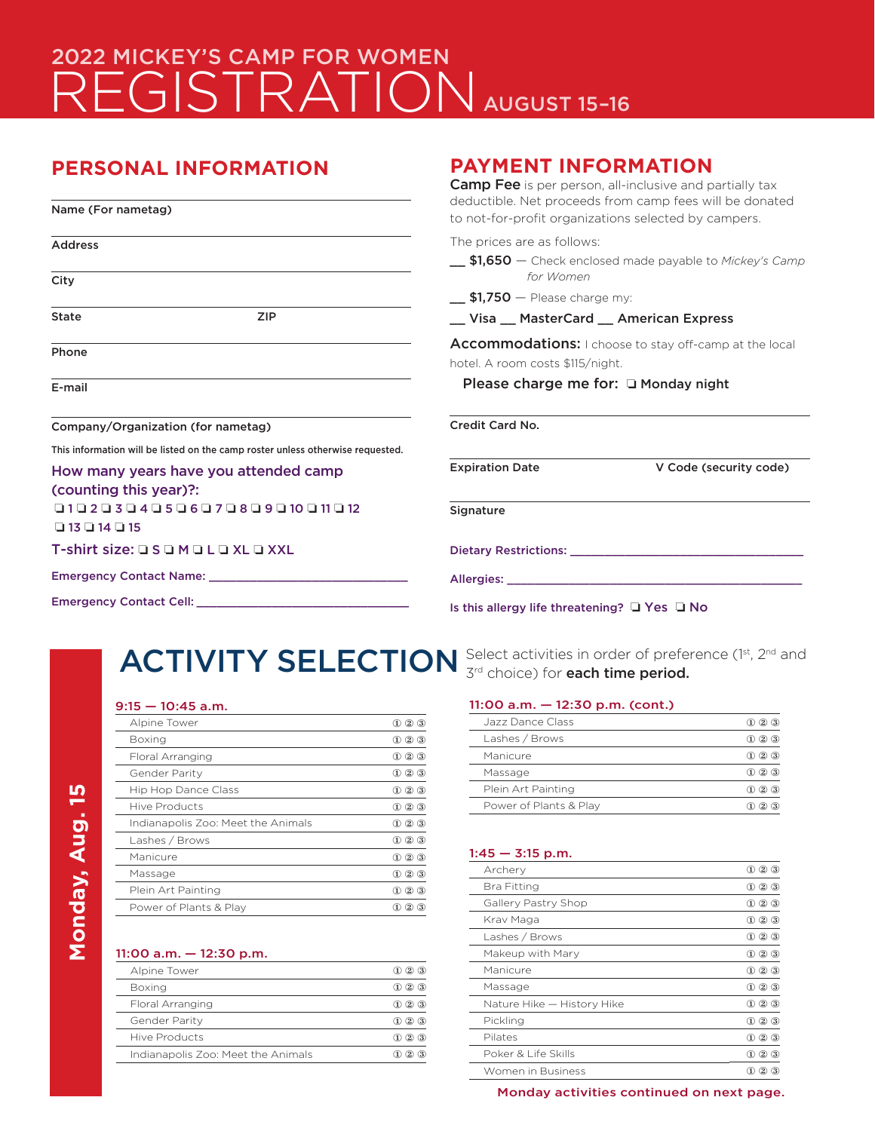# 2022 MICKEY'S CAMP FOR WOMEN REGISTRATION AUGUST 15-16

# **PERSONAL INFORMATION**

| <b>Camp Fee</b> is per person, all-inclusive and partially tax<br>deductible. Net proceeds from camp fees will be donated<br>Name (For nametag)<br>to not-for-profit organizations selected by campers.                        |                                                                                                                 |  |
|--------------------------------------------------------------------------------------------------------------------------------------------------------------------------------------------------------------------------------|-----------------------------------------------------------------------------------------------------------------|--|
| <b>Address</b>                                                                                                                                                                                                                 | The prices are as follows:<br>_\$1,650 - Check enclosed made payable to Mickey's Camp<br>for Women              |  |
| City<br><b>State</b><br><b>ZIP</b>                                                                                                                                                                                             | $\pm$ \$1,750 $-$ Please charge my:<br>_ Visa _ MasterCard _ American Express                                   |  |
| Phone                                                                                                                                                                                                                          | Accommodations: I choose to stay off-camp at the local<br>hotel. A room costs \$115/night.                      |  |
| E-mail                                                                                                                                                                                                                         | Please charge me for: □ Monday night                                                                            |  |
| Company/Organization (for nametag)                                                                                                                                                                                             | Credit Card No.                                                                                                 |  |
| This information will be listed on the camp roster unless otherwise requested.<br>How many years have you attended camp<br>(counting this year)?:                                                                              | <b>Expiration Date</b><br>V Code (security code)                                                                |  |
| 010203040506070809010011012<br>$\Box$ 13 $\Box$ 14 $\Box$ 15                                                                                                                                                                   | Signature                                                                                                       |  |
| T-shirt size: Q S Q M Q L Q XL Q XXL                                                                                                                                                                                           | Dietary Restrictions: Network of the Contract of the Contract of the Contract of the Contract of the Contract o |  |
| Emergency Contact Name: Name: Name: Name and Name and Name and Name and Name and Name and Name and Name and Na                                                                                                                 | Allergies: New York Processing Contractor Contractor Contractor Contractor Contractor Contractor Contractor Co  |  |
| Emergency Contact Cell: Contact Cell Contact College Property Contact Cell Contact Contact Contact Contact Contact Contact Contact Contact Contact Contact Contact Contact Contact Contact Contact Contact Contact Contact Con | Is this allergy life threatening? $\Box$ Yes $\Box$ No                                                          |  |

# ACTIVITY SELECTION Select activities in order of preference (1st, 2nd and

## 9:15 — 10:45 a.m.

| Alpine Tower                       | $\textcircled{1}$ 2 $\textcircled{3}$           |
|------------------------------------|-------------------------------------------------|
| Boxing                             | $\textcircled{1}$<br>$\circled{3}$              |
| Floral Arranging                   | $\circled{1}$<br>$\circled{3}$                  |
| Gender Parity                      | $\textcircled{1}\textcircled{2}\textcircled{3}$ |
| Hip Hop Dance Class                | $\circledcirc$ $\circledcirc$<br>$^{\circ}$     |
| <b>Hive Products</b>               | $\circled{2}$<br>$^{\circ}$<br>$\circled{3}$    |
|                                    |                                                 |
| Indianapolis Zoo: Meet the Animals | $\circled{2}$<br>$\circled{3}$<br>$\omega$      |
| Lashes / Brows                     | $\textcircled{1}$<br>$(3)$                      |
| Manicure                           | $\circled{2}$<br>$\bf(3)$<br>$\omega$           |
| Massage                            | $\circled{2}$<br>$\circled{3}$<br>$\omega$      |
| Plein Art Painting                 | $\circled{2}$<br>3<br>$\Omega$                  |

#### 11:00 a.m. — 12:30 p.m.

| Alpine Tower                       | $(2)$ $(3)$                 |
|------------------------------------|-----------------------------|
| Boxing                             | 3<br>(2)                    |
| Floral Arranging                   | $\circled{3}$<br>(2)<br>(1) |
| Gender Parity                      | 3<br>(2)<br>(1)             |
| Hive Products                      | (3)<br>$\bf(2)$             |
| Indianapolis Zoo: Meet the Animals | 2                           |
|                                    |                             |

3<sup>rd</sup> choice) for each time period.

# 11:00 a.m. — 12:30 p.m. (cont.)

**PAYMENT INFORMATION**

| Jazz Dance Class       | 3<br>$\bf{2}$                             |
|------------------------|-------------------------------------------|
| Lashes / Brows         | $\circled{3}$<br>$\left( 2\right)$<br>(1) |
| Manicure               | $(2)$ $(3)$<br>ED.                        |
| Massage                | $\circled{3}$<br>(2)<br>(1)               |
| Plein Art Painting     | 3<br>(2)<br>[1]                           |
| Power of Plants & Play | 3)                                        |

#### $1:45 - 3:15$  p.m.

| Archery                    | $\circledR$<br>$\circled{3}$                     |
|----------------------------|--------------------------------------------------|
| Bra Fitting                | $^{\circledR}$<br>$^{\circ}$<br>$\circled{3}$    |
| Gallery Pastry Shop        | $^{\circledR}$<br>$^{\circ}$<br>$\circled{3}$    |
| Krav Maga                  | $^{\circledR}$<br>$^{\circ}$<br>$\left(3\right)$ |
| Lashes / Brows             | $^{\circledR}$<br>$^{\circ}$<br>$\circled{3}$    |
| Makeup with Mary           | $^{\circledR}$<br>$\omega$<br>$3$                |
| Manicure                   | $^{\circledR}$<br>$^{\circ}$<br>$\circled{3}$    |
| Massage                    | $^{\circledR}$<br>$^{\circ}$<br>$\circled{3}$    |
| Nature Hike - History Hike | $^{\circledR}$<br>$\circled{3}$<br>$^{\circ}$    |
| Pickling                   | $^{\circledR}$<br>$\omega$<br>$3$                |
| Pilates                    | $^{\circledR}$<br>$\bf(3)$<br>$\omega$           |
| Poker & Life Skills        | $\bf 1$<br>$\bf(2)$<br>$\bf(3)$                  |
| Women in Business          | $\bf{(2)}$<br>3                                  |

Monday activities continued on next page.